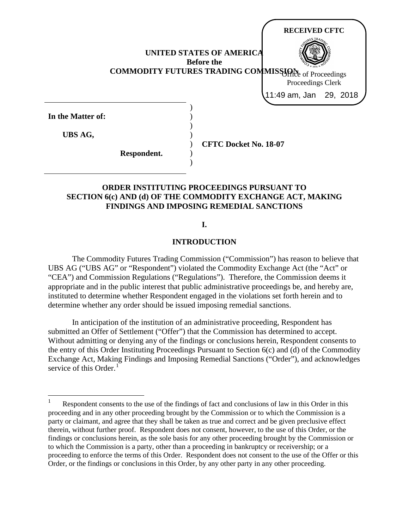**UNITED STATES OF AMERICA Before the COMMODITY FUTURES TRADING COMMISSION** of Proceedings **In the Matter of:** ) ) ) ) ) **CFTC Docket No. 18-07 RECEIVED CFTC** Proceedings Clerk 11:49 am, Jan 29, 2018

**ORDER INSTITUTING PROCEEDINGS PURSUANT TO SECTION 6(c) AND (d) OF THE COMMODITY EXCHANGE ACT, MAKING FINDINGS AND IMPOSING REMEDIAL SANCTIONS**

) )

**UBS AG,**

**Respondent.**

# **I.**

### **INTRODUCTION**

The Commodity Futures Trading Commission ("Commission") has reason to believe that UBS AG ("UBS AG" or "Respondent") violated the Commodity Exchange Act (the "Act" or "CEA") and Commission Regulations ("Regulations"). Therefore, the Commission deems it appropriate and in the public interest that public administrative proceedings be, and hereby are, instituted to determine whether Respondent engaged in the violations set forth herein and to determine whether any order should be issued imposing remedial sanctions.

In anticipation of the institution of an administrative proceeding, Respondent has submitted an Offer of Settlement ("Offer") that the Commission has determined to accept. Without admitting or denying any of the findings or conclusions herein, Respondent consents to the entry of this Order Instituting Proceedings Pursuant to Section 6(c) and (d) of the Commodity Exchange Act, Making Findings and Imposing Remedial Sanctions ("Order"), and acknowledges service of this Order. $1$ 

<span id="page-0-0"></span>Respondent consents to the use of the findings of fact and conclusions of law in this Order in this proceeding and in any other proceeding brought by the Commission or to which the Commission is a party or claimant, and agree that they shall be taken as true and correct and be given preclusive effect therein, without further proof. Respondent does not consent, however, to the use of this Order, or the findings or conclusions herein, as the sole basis for any other proceeding brought by the Commission or to which the Commission is a party, other than a proceeding in bankruptcy or receivership; or a proceeding to enforce the terms of this Order. Respondent does not consent to the use of the Offer or this Order, or the findings or conclusions in this Order, by any other party in any other proceeding.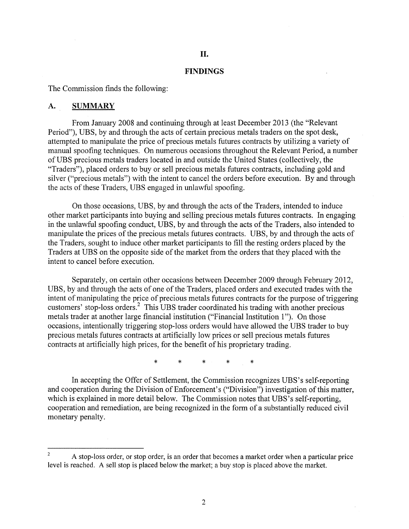### **II.**

### **FINDINGS**

The Commission finds the following:

#### **A. SUMMARY**

From January 2008 and continuing through at least December 2013 (the "Relevant Period"), UBS, by and through the acts of certain precious metals traders on the spot desk, attempted to manipulate the price of precious metals futures contracts by utilizing a variety of manual spoofing techniques. On numerous occasions throughout the Relevant Period, a number of UBS precious metals traders located in and outside the United States (collectively, the "Traders"), placed orders to buy or sell precious metals futures contracts, including gold and silver ("precious metals") with the intent to cancel the orders before execution. By and through the acts of these Traders, UBS engaged in unlawful spoofing.

On those occasions, UBS, by and through the acts of the Traders, intended to induce other market participants into buying and selling precious metals futures contracts. In engaging in the unlawful spoofing conduct, UBS, by and through the acts of the Traders, also intended to manipulate the prices of the precious metals futures contracts. UBS, by and through the acts of the Traders, sought to induce other market participants to fill the resting orders placed by the Traders at UBS on the opposite side of the market from the orders that they placed with the intent to cancel before execution.

Separately, on certain other occasions between December 2009 through February 2012, UBS, by and through the acts of one of the Traders, placed orders and executed trades with the intent of manipulating the price of precious metals futures contracts for the purpose of triggering customers' stop-loss orders.2 This UBS trader coordinated his trading with another precious metals trader at another large financial institution ("Financial Institution 1"). On those occasions, intentionally triggering stop-loss orders would have allowed the UBS trader to buy precious metals futures contracts at artificially low prices or sell precious metals futures contracts at artificially high prices, for the benefit of his proprietary trading.

\* \* \* \* \*

In accepting the Offer of Settlement, the Commission recognizes UBS's self-reporting and cooperation during the Division of Enforcement's ("Division") investigation of this matter, which is explained in more detail below. The Commission notes that UBS's self-reporting, cooperation and remediation, are being recognized in the form of a substantially reduced civil monetary penalty.

<sup>2</sup> A stop-loss order, or stop order, is an order that becomes a market order when a particular price level is reached. A sell stop is placed below the market; a buy stop is placed above the market.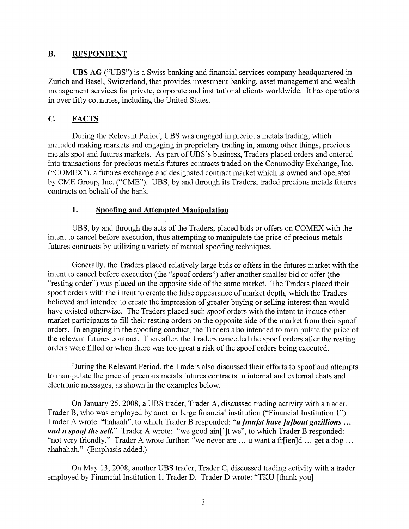## **B. RESPONDENT**

**UBS AG** ("UBS") is a Swiss banking and financial services company headquartered in Zurich and Basel, Switzerland, that provides investment banking, asset management and wealth management services for private, corporate and institutional clients worldwide. It has operations in over fifty countries, including the United States.

# **C. FACTS**

During the Relevant Period, UBS was engaged in precious metals trading, which included making markets and engaging in proprietary trading in, among other things, precious metals spot and futures markets. As part of UBS's business, Traders placed orders and entered into transactions for precious metals futures contracts traded on the Commodity Exchange, Inc. ("COMEX"), a futures exchange and designated contract market which is owned and operated by CME Group, Inc. ("CME"). UBS, by and through its Traders, traded precious metals futures contracts on behalf of the bank.

## **1. Spoofing and Attempted Manipulation**

UBS, by and through the acts of the Traders, placed bids or offers on COMEX with the intent to cancel before execution, thus attempting to manipulate the price of precious metals futures contracts by utilizing a variety of manual spoofing techniques.

Generally, the Traders placed relatively large bids or offers in the futures market with the intent to cancel before execution (the "spoof orders") after another smaller bid or offer (the "resting order") was placed on the opposite side of the same market. The Traders placed their spoof orders with the intent to create the false appearance of market depth, which the Traders believed and intended to create the impression of greater buying or selling interest than would have existed otherwise. The Traders placed such spoof orders with the intent to induce other market participants to fill their resting orders on the opposite side of the market from their spoof orders. In engaging in the spoofing conduct, the Traders also intended to manipulate the price of the relevant futures contract. Thereafter, the Traders cancelled the spoof orders after the resting orders were filled or when there was too great a risk of the spoof orders being executed.

During the Relevant Period, the Traders also discussed their efforts to spoof and attempts to manipulate the price of precious metals futures contracts in internal and external chats and electronic messages, as shown in the examples below.

On January 25, 2008, a UBS trader, Trader A, discussed trading activity with a trader, Trader B, who was employed by another large financial institution ("Financial Institution 1"). Trader A wrote: "hahaah", to which Trader B responded: *"u [mu]st have [a]bout gazillions ...*  and u spoof the sell." Trader A wrote: "we good ain<sup>[']</sup>t we", to which Trader B responded: "not very friendly." Trader A wrote further: "we never are ... u want a fr[ien]d ... get a dog ... ahahahah." (Emphasis added.)

On May 13, 2008, another UBS trader, Trader C, discussed trading activity with a trader employed by Financial Institution 1, Trader D. Trader D wrote: "TKU [thank you]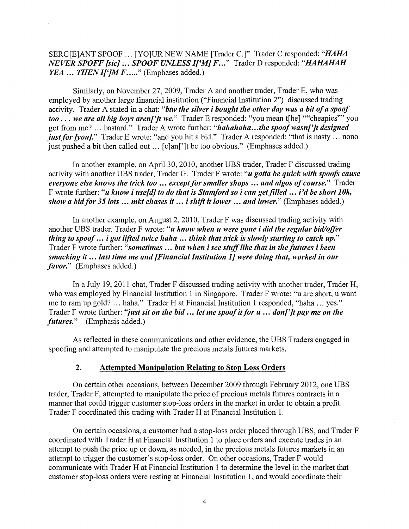SERG[E]ANT SPOOF ... [YO]UR NEW NAME [Trader C.]" Trader C responded: *"HAHA NEVER SPOFF [sic] ... SPOOF UNLESS I['MJ F ... "* Trader D responded: *"HAHAHAH YEA ... THEN I[']M F.....*" (Emphases added.)

Similarly, on November 27, 2009, Trader A and another trader, Trader E, who was employed by another large financial institution ("Financial Institution 2") discussed trading activity. Trader A stated in a chat: *"btw the silver i bought the other day was a bit of a spoof too* ... *we are all big boys aren['Jt we."* Trader E responded: "you mean t[he] ""cheapies"" you got from me? ... bastard." Trader A wrote further: *"hahahaha ... tlte spoofwasn['Jt designed just for [you].*" Trader E wrote: "and you hit a bid." Trader A responded: "that is nasty ... nono just pushed a bit then called out ... [c]an[']t be too obvious." (Emphases added.)

In another example, on April 30, 2010, another UBS trader, Trader F discussed trading activity with another UBS trader, Trader G. Trader F wrote: *"u gotta be quick with spoofs cause everyone else knows the trick too* ... *except for smaller shops* ... *and a/gos of course."* Trader F wrote further: "*u know i use[d] to do that is Stamford so i can get filled ... i'd be short 10k, show a bid/or 35 lots ... mkt chases it ... i shift it lower ... and lower."* (Emphases added.)

In another example, on August 2, 2010, Trader F was discussed trading activity with another UBS trader. Trader F wrote: *"u know when u were gone i did the regular bid/offer thing to spoof ... i got lifted twice haha* ... *think that trick is slowly starting to catch up."*  Trader F wrote further: *"sometimes* ... *but when i see stuff like that in the futures i been smacking it ... last time me and [Financial Institution JJ were doing that, worked in our favor."* (Emphases added.)

In a July 19, 2011 chat, Trader F discussed trading activity with another trader, Trader H, who was employed by Financial Institution 1 in Singapore. Trader F wrote: "u are short, u want me to ram up gold? ... haha." Trader H at Financial Institution 1 responded, "haha ... yes." Trader F wrote further: *''just sit on the bid ... let me spoof it for u* ... *don['Jt pay me on the futures."* (Emphasis added.)

As reflected in these communications and other evidence, the UBS Traders engaged in spoofing and attempted to manipulate the precious metals futures markets.

### **2. Attempted Manipulation Relating to Stop Loss Orders**

On certain other occasions, between December 2009 through February 2012, one UBS trader, Trader F, attempted to manipulate the price of precious metals futures contracts in a manner that could trigger customer stop-loss orders in the market in order to obtain a profit. Trader F coordinated this trading with Trader H at Financial Institution 1.

On certain occasions, a customer had a stop-loss order placed through UBS, and Trader F coordinated with Trader H at Financial Institution 1 to place orders and execute trades in an attempt to push the price up or down, as needed, in the precious metals futures markets in an attempt to trigger the customer's stop-loss order. On other occasions, Trader F would communicate with Trader H at Financial Institution 1 to determine the level in the market that customer stop-loss orders were resting at Financial Institution 1, and would coordinate their

4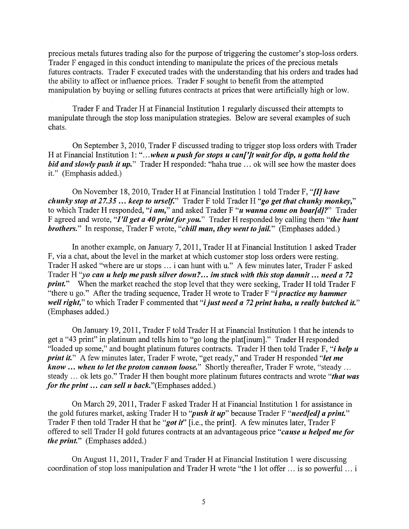precious metals futures trading also for the purpose of triggering the customer's stop-loss orders. Trader F engaged in this conduct intending to manipulate the prices of the precious metals futures contracts. Trader F executed trades with the understanding that his orders and trades had the ability to affect or influence prices. Trader F sought to benefit from the attempted manipulation by buying or selling futures contracts at prices that were artificially high or low.

Trader F and Trader H at Financial Institution 1 regularly discussed their attempts to manipulate through the stop loss manipulation strategies. Below are several examples of such chats.

On September 3, 2010, Trader F discussed trading to trigger stop loss orders with Trader H at Financial Institution 1: "...when u push for stops u can<sup>r</sup>/*t* wait for dip, u gotta hold the *bid and slowly push it up.*" Trader H responded: "haha true ... ok will see how the master does it." (Emphasis added.)

On November 18, 2010, Trader Hat Financial Institution 1 told Trader F, **"fl]** *have chunky stop at 27.35* ... *keep to urself."* Trader F told Trader H *"go get that chunky monkey,"*  to which Trader H responded, *"i am,"* and asked Trader F *"u wanna come on boar[d]?"* Trader F agreed and wrote, "*I'll get a 40 print for you*." Trader H responded by calling them "*the hunt brothers.*" In response, Trader F wrote, "*chill man, they went to jail.*" (Emphases added.)

In another example, on January 7, 2011, Trader H at Financial Institution 1 asked Trader F, via a chat, about the level in the market at which customer stop loss orders were resting. Trader H asked "where are ur stops ... i can hunt with u." A few minutes later, Trader F asked Trader H *"yo can u help me push silver down? ... im stuck with this stop damnit* ... *need a 72 print.*" When the market reached the stop level that they were seeking, Trader H told Trader F "there u go." After the trading sequence, Trader H wrote to Trader F "i *practice my hammer well right*," to which Trader F commented that "*i just need a 72 print haha*, *u really butched it.*" (Emphases added.)

On January 19, 2011, Trader F told Trader Hat Financial Institution 1 that he intends to get a "43 print" in platinum and tells him to "go long the plat[inum]." Trader H responded "loaded up some," and bought platinum futures contracts. Trader H then told Trader F, "i *help u print it."* A few minutes later, Trader F wrote, "get ready," and Trader H responded *"let me know* ... *when to let the proton cannon loose."* Shortly thereafter, Trader F wrote, "steady ... steady ... ok lets go." Trader H then bought more platinum futures contracts and wrote *"that was for the print ... can sell u* back."(Emphases added.)

On March 29, 2011, Trader F asked Trader Hat Financial Institution 1 for assistance in the gold futures market, asking Trader H to "*push it up*" because Trader F "*need[ed] a print.*" Trader F then told Trader H that he *"got it"* [i.e., the print]. A few minutes later, Trader F offered to sell Trader H gold futures contracts at an advantageous price *"cause u helped me for the print."* (Emphases added.)

On August 11, 2011, Trader F and Trader H at Financial Institution 1 were discussing coordination of stop loss manipulation and Trader H wrote "the 1 lot offer ... is so powerful ... i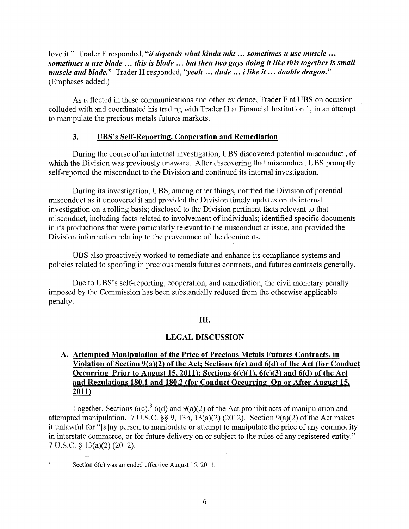love it." Trader F responded, "it *depends what kinda mkt* ... *sometimes u use muscle ... sometimes u use blade* ... *this is blade* ... *but then two guys doing it like this together is small muscle and blade."* Trader H responded, *''yeah* ... *dude* ... *i like it* ... *double dragon."*  (Emphases added.)

As reflected in these communications and other evidence, Trader F at UBS on occasion colluded with and coordinated his trading with Trader H at Financial Institution 1, in an attempt to manipulate the precious metals futures markets.

### **3. UBS's Self-Reporting, Cooperation and Remediation**

During the course of an internal investigation, UBS discovered potential misconduct , of which the Division was previously unaware. After discovering that misconduct, UBS promptly self-reported the misconduct to the Division and continued its internal investigation.

During its investigation, UBS, among other things, notified the Division of potential misconduct as it uncovered it and provided the Division timely updates on its internal investigation on a rolling basis; disclosed to the Division pertinent facts relevant to that misconduct, including facts related to involvement of individuals; identified specific documents in its productions that were particularly relevant to the misconduct at issue, and provided the Division information relating to the provenance of the documents.

UBS also proactively worked to remediate and enhance its compliance systems and policies related to spoofing in precious metals futures contracts, and futures contracts generally.

Due to UBS's self-reporting, cooperation, and remediation, the civil monetary penalty imposed by the Commission has been substantially reduced from the otherwise applicable penalty.

### III.

### **LEGAL DISCUSSION**

# **A. Attempted Manipulation of the Price of Precious Metals Futures Contracts, in Violation of Section 9{a)(2) of the Act; Sections 6(c) and 6(d) of the Act (for Conduct Occurring Prior to August 15, 2011); Sections 6(c)(1), 6(c)(3) and 6(d) of the Act and Regulations 180.1 and 180.2 (for Conduct Occurring On or After August 15, 2011)**

Together, Sections  $6(c)$ ,  $36(d)$  and  $9(a)(2)$  of the Act prohibit acts of manipulation and attempted manipulation. 7 U.S.C. §§ 9, 13b, 13(a)(2) (2012). Section 9(a)(2) of the Act makes it unlawful for "[a]ny person to manipulate or attempt to manipulate the price of any commodity in interstate commerce, or for future delivery on or subject to the rules of any registered entity." 7 U.S.C. § 13(a)(2) (2012).

 $\overline{3}$ 

Section  $6(c)$  was amended effective August 15, 2011.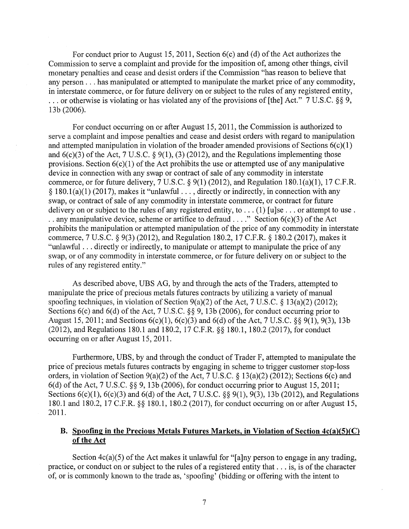For conduct prior to August 15, 2011, Section 6(c) and (d) of the Act authorizes the Commission to serve a complaint and provide for the imposition of, among other things, civil monetary penalties and cease and desist orders if the Commission "has reason to believe that any person ... has manipulated or attempted to manipulate the market price of any commodity, in interstate commerce, or for future delivery on or subject to the rules of any registered entity, ... or otherwise is violating or has violated any of the provisions of [the] Act." 7 U.S.C. §§ 9, 13b (2006).

For conduct occurring on or after August 15, 2011, the Commission is authorized to serve a complaint and impose penalties and cease and desist orders with regard to manipulation and attempted manipulation in violation of the broader amended provisions of Sections  $6(c)(1)$ and  $6(c)(3)$  of the Act, 7 U.S.C. § 9(1), (3) (2012), and the Regulations implementing those provisions. Section  $6(c)(1)$  of the Act prohibits the use or attempted use of any manipulative device in connection with any swap or contract of sale of any commodity in interstate commerce, or for future delivery,  $7 \text{ U.S.C.}$  §  $9(1)$  (2012), and Regulation 180.1(a)(1), 17 C.F.R. § 180.1(a)(1) (2017), makes it "unlawful  $\dots$ , directly or indirectly, in connection with any swap, or contract of sale of any commodity in interstate commerce, or contract for future delivery on or subject to the rules of any registered entity, to . . . (1) [u]se . . . or attempt to use . . . any manipulative device, scheme or artifice to defraud . . . ." Section  $6(c)(3)$  of the Act prohibits the manipulation or attempted manipulation of the price of any commodity in interstate commerce, 7 U.S.C. § 9(3) (2012), and Regulation 180.2, 17 C.F.R. § 180.2 (2017), makes it "unlawful ... directly or indirectly, to manipulate or attempt to manipulate the price of any swap, or of any commodity in interstate commerce, or for future delivery on or subject to the rules of any registered entity."

As described above, UBS AG, by and through the acts of the Traders, attempted to manipulate the price of precious metals futures contracts by utilizing a variety of manual spoofing techniques, in violation of Section 9(a)(2) of the Act, 7 U.S.C. § 13(a)(2) (2012); Sections 6(c) and 6(d) of the Act, 7 U.S.C. §§ 9, 13b (2006), for conduct occurring prior to August 15, 2011; and Sections  $6(c)(1)$ ,  $6(c)(3)$  and  $6(d)$  of the Act, 7 U.S.C. §§ 9(1), 9(3), 13b (2012), and Regulations 180.1 and 180.2, 17 C.F.R. §§ 180.1, 180.2 (2017), for conduct occurring on or after August 15, 2011.

Furthermore, UBS, by and through the conduct of Trader F, attempted to manipulate the price of precious metals futures contracts by engaging in scheme to trigger customer stop-loss orders, in violation of Section 9(a)(2) of the Act, 7 U.S.C. § 13(a)(2) (2012); Sections 6(c) and 6(d) of the Act, 7 U.S.C. §§ 9, 13b (2006), for conduct occurring prior to August 15, 2011; Sections 6(c)(l), 6(c)(3) and 6(d) of the Act, 7 U.S.C. §§ 9(1), 9(3), 13b (2012), and Regulations 180.1 and 180.2, 17 C.F.R. §§ 180.1, 180.2 (2017), for conduct occurring on or after August 15, 2011.

# **B. Spoofing in the Precious Metals Futures Markets, in Violation of Section 4c(a)(5)(C) of the Act**

Section  $4c(a)(5)$  of the Act makes it unlawful for "[a]ny person to engage in any trading, practice, or conduct on or subject to the rules of a registered entity that ... is, is of the character of, or is commonly known to the trade as, 'spoofing' (bidding or offering with the intent to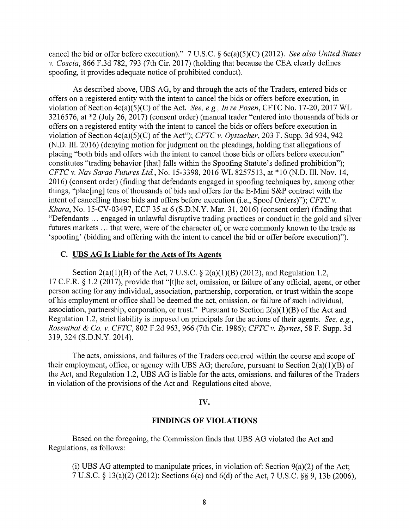cancel the bid or offer before execution)." 7 U.S.C. § 6c(a)(5)(C) (2012). *See also United States v. Coscia,* 866 F.3d 782, 793 (7th Cir. 2017) (holding that because the CEA clearly defines spoofing, it provides adequate notice of prohibited conduct).

As described above, UBS AG, by and through the acts of the Traders, entered bids or offers on a registered entity with the intent to cancel the bids or offers before execution, in violation of Section 4c(a)(5)(C) of the Act. *See, e.g., In re Posen,* CFTC No. 17-20, 2017 WL 3216576, at \*2 (July 26, 2017) (consent order) (manual trader "entered into thousands of bids or offers on a registered entity with the intent to cancel the bids or offers before execution in violation of Section 4c(a)(5)(C) of the Act"); *CFTC v. Oystacher,* 203 F. Supp. 3d 934, 942 (N.D. Ill. 2016) (denying motion for judgment on the pleadings, holding that allegations of placing "both bids and offers with the intent to cancel those bids or offers before execution" constitutes "trading behavior [that] falls within the Spoofing Statute's defined prohibition"); *CFTC v. Nav Sarao Futures Ltd.,* No. 15-3398, 2016 WL 8257513, at \*10 (N.D. Ill. Nov. 14, 2016) (consent order) (finding that defendants engaged in spoofing techniques by, among other things, "plac[ing] tens of thousands of bids and offers for the E-Mini S&P contract with the intent of cancelling those bids and offers before execution (i.e., Spoof Orders)"); *CFTC v. Khara,* No. 15-CV-03497, ECF 35 at 6 (S.D.N.Y. Mar. 31, 2016) (consent order) (finding that "Defendants ... engaged in unlawful disruptive trading practices or conduct in the gold and silver futures markets ... that were, were of the character of, or were commonly known to the trade as 'spoofing' (bidding and offering with the intent to cancel the bid or offer before execution)").

## **C. UBS AG Is Liable for the Acts of Its Agents**

Section  $2(a)(1)(B)$  of the Act, 7 U.S.C. §  $2(a)(1)(B)$  (2012), and Regulation 1.2, 17 C.F.R. § 1.2 (2017), provide that "[t]he act, omission, or failure of any official, agent, or other person acting for any individual, association, partnership, corporation, or trust within the scope of his employment or office shall be deemed the act, omission, or failure of such individual, association, partnership, corporation, or trust." Pursuant to Section  $2(a)(1)(B)$  of the Act and Regulation 1.2, strict liability is imposed on principals for the actions of their agents. *See, e.g., Rosenthal & Co. v. CFTC,* 802 F.2d 963, 966 (7th Cir. 1986); *CFTC v. Byrnes,* 58 F. Supp. 3d 319,324 (S.D.N.Y. 2014).

The acts, omissions, and failures of the Traders occurred within the course and scope of their employment, office, or agency with UBS AG; therefore, pursuant to Section  $2(a)(1)(B)$  of the Act, and Regulation 1.2, UBS AG is liable for the acts, omissions, and failures of the Traders in violation of the provisions of the Act and Regulations cited above.

### **IV.**

### **FINDINGS OF VIOLATIONS**

Based on the foregoing, the Commission finds that UBS AG violated the Act and Regulations, as follows:

(i) UBS AG attempted to manipulate prices, in violation of: Section  $9(a)(2)$  of the Act; 7 U.S.C. § 13(a)(2) (2012); Sections 6(c) and 6(d) of the Act, 7 U.S.C. §§ 9, 13b (2006),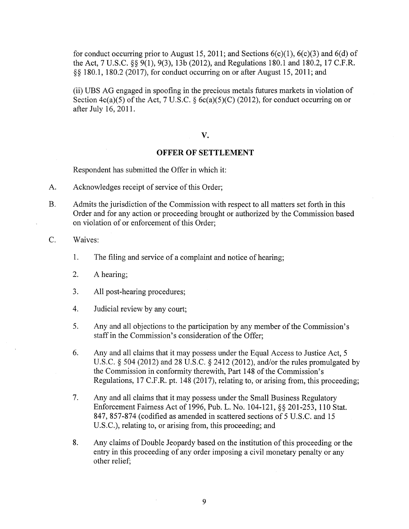for conduct occurring prior to August 15, 2011; and Sections  $6(c)(1)$ ,  $6(c)(3)$  and  $6(d)$  of the Act, 7 U.S.C. §§ 9(1), 9(3), 13b (2012), and Regulations 180.1 and 180.2, 17 C.F.R. §§ 180.1, 180.2 (2017), for conduct occurring on or after August 15, 2011; and

(ii) UBS AG engaged in spoofing in the precious metals futures markets in violation of Section  $4c(a)(5)$  of the Act, 7 U.S.C. §  $6c(a)(5)(C)$  (2012), for conduct occurring on or after July 16, 2011.

#### **V.**

## **OFFER OF SETTLEMENT**

Respondent has submitted the Offer in which it:

- A. Acknowledges receipt of service of this Order;
- B. Admits the jurisdiction of the Commission with respect to all matters set forth in this Order and for any action or proceeding brought or authorized by the Commission based on violation of or enforcement of this Order;

C. Waives:

- 1. The filing and service of a complaint and notice of hearing;
- 2. A hearing;
- 3. All post-hearing procedures;
- 4. Judicial review by any court;
- 5. Any and all objections to the participation by any member of the Commission's staff in the Commission's consideration of the Offer;
- 6. Any and all claims that it may possess under the Equal Access to Justice Act, 5 U.S.C. § 504 (2012) and 28 U.S.C. § 2412 (2012), and/or the rules promulgated by the Commission in conformity therewith, Part 148 of the Commission's Regulations, 17 C.F.R. pt. 148 (2017), relating to, or arising from, this proceeding;
- 7. Any and all claims that it may possess under the Small Business Regulatory Enforcement Fairness Act of 1996, Pub. L. No. 104-121, §§ 201-253, 110 Stat. 847, 857-874 (codified as amended in scattered sections of 5 U.S.C. and 15 U.S.C.), relating to, or arising from, this proceeding; and
- 8. Any claims of Double Jeopardy based on the institution of this proceeding or the entry in this proceeding of any order imposing a civil monetary penalty or any other relief;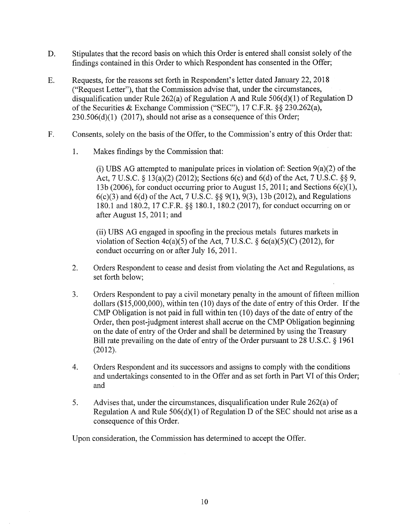- D. Stipulates that the record basis on which this Order is entered shall consist solely of the findings contained in this Order to which Respondent has consented in the Offer;
- E. Requests, for the reasons set forth in Respondent's letter dated January 22, 2018 ("Request Letter"), that the Commission advise that, under the circumstances, disqualification under Rule 262(a) of Regulation A and Rule  $506(d)(1)$  of Regulation D of the Securities & Exchange Commission ("SEC"), 17 C.F.R. §§ 230.262(a),  $230.506(d)(1)$  (2017), should not arise as a consequence of this Order;
- F. Consents, solely on the basis of the Offer, to the Commission's entry of this Order that:
	- 1. Makes findings by the Commission that:

(i) UBS AG attempted to manipulate prices in violation of: Section  $9(a)(2)$  of the Act, 7 U.S.C. § 13(a)(2) (2012); Sections 6(c) and 6(d) of the Act, 7 U.S.C. §§ 9, 13b (2006), for conduct occurring prior to August 15, 2011; and Sections  $6(c)(1)$ ,  $6(c)(3)$  and  $6(d)$  of the Act, 7 U.S.C. §§ 9(1), 9(3), 13b (2012), and Regulations 180.1 and 180.2, 17 C.F.R. §§ 180.1, 180.2 (2017), for conduct occurring on or after August 15, 2011; and

(ii) UBS AG engaged in spoofing in the precious metals futures markets in violation of Section  $4c(a)(5)$  of the Act, 7 U.S.C. § 6c(a)(5)(C) (2012), for conduct occurring on or after July 16, 2011.

- 2. Orders Respondent to cease and desist from violating the Act and Regulations, as set forth below;
- 3. Orders Respondent to pay a civil monetary penalty in the amount of fifteen million dollars (\$15,000,000), within ten (10) days of the date of entry of this Order. If the CMP Obligation is not paid in full within ten (10) days of the date of entry of the Order, then post-judgment interest shall accrue on the CMP Obligation beginning on the date of entry of the Order and shall be determined by using the Treasury Bill rate prevailing on the date of entry of the Order pursuant to 28 U.S.C. § 1961 (2012).
- 4. Orders Respondent and its successors and assigns to comply with the conditions and undertakings consented to in the Offer and as set forth in Part VI of this Order; and
- 5. Advises that, under the circumstances, disqualification under Rule 262(a) of Regulation A and Rule  $506(d)(1)$  of Regulation D of the SEC should not arise as a consequence of this Order.

Upon consideration, the Commission has determined to accept the Offer.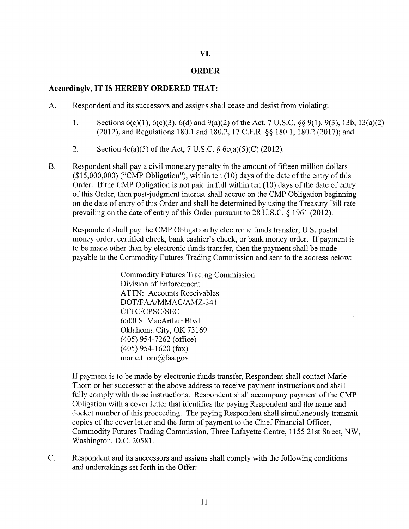# **VI.**

## **ORDER**

# **Accordingly, IT IS HEREBY ORDERED THAT:**

- A. Respondent and its successors and assigns shall cease and desist from violating:
	- 1. Sections 6(c)(l), 6(c)(3), 6(d) and 9(a)(2) of the Act, 7 U.S.C. §§ 9(1), 9(3), 13b, 13(a)(2) (2012), and Regulations 180.1 and 180.2, 17 C.F.R. §§ 180.1, 180.2 (2017); and
	- 2. Section 4c(a)(5) of the Act, 7 U.S.C. § 6c(a)(5)(C) (2012).
- B. Respondent shall pay a civil monetary penalty in the amount of fifteen million dollars (\$15,000,000) ("CMP Obligation"), within ten (10) days of the date of the entry of this Order. If the CMP Obligation is not paid in full within ten ( 10) days of the date of entry of this Order, then post-judgment interest shall accrue on the CMP Obligation beginning on the date of entry of this Order and shall be determined by using the Treasury Bill rate prevailing on the date of entry of this Order pursuant to 28 U.S.C. § 1961 (2012).

Respondent shall pay the CMP Obligation by electronic funds transfer, U.S. postal money order, certified check, bank cashier's check, or bank money order. If payment is to be made other than by electronic funds transfer, then the payment shall be made payable to the Commodity Futures Trading Commission and sent to the address below:

> Commodity Futures Trading Commission Division of Enforcement ATTN: Accounts Receivables DOT/FAA/MMAC/AMZ-341 CFTC/CPSC/SEC 6500 S. MacArthur Blvd. Oklahoma City, OK 73169 ( 405) 954-7262 (office) (405) 954-1620 (fax) marie.thorn@faa.gov

If payment is to be made by electronic funds transfer, Respondent shall contact Marie Thorn or her successor at the above address to receive payment instructions and shall fully comply with those instructions. Respondent shall accompany payment of the CMP Obligation with a cover letter that identifies the paying Respondent and the name and docket number of this proceeding. The paying Respondent shall simultaneously transmit copies of the cover letter and the form of payment to the Chief Financial Officer, Commodity Futures Trading Commission, Three Lafayette Centre, 1155 21st Street, NW, Washington, D.C. 20581.

C. Respondent and its successors and assigns shall comply with the following conditions and undertakings set forth in the Offer: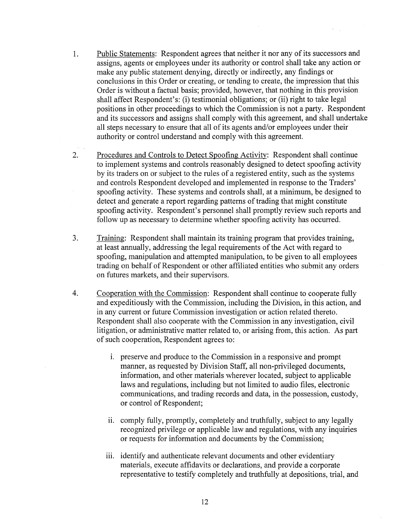- 1. Public Statements: Respondent agrees that neither it nor any of its successors and assigns, agents or employees under its authority or control shall take any action or make any public statement denying, directly or indirectly, any findings or conclusions in this Order or creating, or tending to create, the impression that this Order is without a factual basis; provided, however, that nothing in this provision shall affect Respondent's: (i) testimonial obligations; or (ii) right to take legal positions in other proceedings to which the Commission is not a party. Respondent and its successors and assigns shall comply with this agreement, and shall undertake all steps necessary to ensure that all of its agents and/or employees under their authority or control understand and comply with this agreement.
- 2. Procedures and Controls to Detect Spoofing Activity: Respondent shall continue to implement systems and controls reasonably designed to detect spoofing activity by its traders on or subject to the rules of a registered entity, such as the systems and controls Respondent developed and implemented in response to the Traders' spoofing activity. These systems and controls shall, at a minimum, be designed to detect and generate a report regarding patterns of trading that might constitute spoofing activity. Respondent's personnel shall promptly review such reports and follow up as necessary to determine whether spoofing activity has occurred.
- 3. Training: Respondent shall maintain its training program that provides training, at least annually, addressing the legal requirements of the Act with regard to spoofing, manipulation and attempted manipulation, to be given to all employees trading on behalf of Respondent or other affiliated entities who submit any orders on futures markets, and their supervisors.
- 4. Cooperation with the Commission: Respondent shall continue to cooperate fully and expeditiously with the Commission, including the Division, in this action, and in any current or future Commission investigation or action related thereto. Respondent shall also cooperate with the Commission in any investigation, civil litigation, or administrative matter related to, or arising from, this action. As part of such cooperation, Respondent agrees to:
	- 1. preserve and produce to the Commission in a responsive and prompt manner, as requested by Division Staff, all non-privileged documents, information, and other materials wherever located, subject to applicable laws and regulations, including but not limited to audio files, electronic communications, and trading records and data, in the possession, custody, or control of Respondent;
	- ii. comply fully, promptly, completely and truthfully, subject to any legally recognized privilege or applicable law and regulations, with any inquiries or requests for information and documents by the Commission;
	- iii. identify and authenticate relevant documents and other evidentiary materials, execute affidavits or declarations, and provide a corporate representative to testify completely and truthfully at depositions, trial, and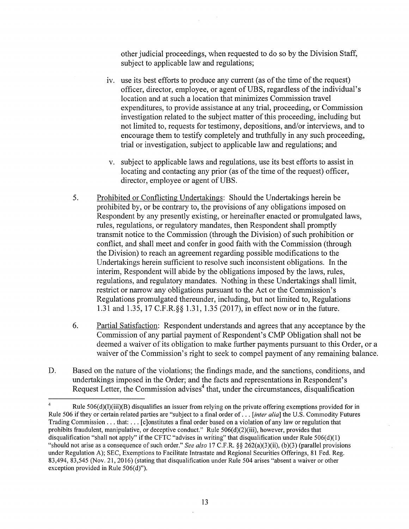other judicial proceedings, when requested to do so by the Division Staff, subject to applicable law and regulations;

- iv. use its best efforts to produce any current (as of the time of the request) officer, director, employee, or agent of UBS, regardless of the individual's location and at such a location that minimizes Commission travel expenditures, to provide assistance at any trial, proceeding, or Commission investigation related to the subject matter of this proceeding, including but not limited to, requests for testimony, depositions, and/or interviews, and to encourage them to testify completely and truthfully in any such proceeding, trial or investigation, subject to applicable law and regulations; and
- v. subject to applicable laws and regulations, use its best efforts to assist in locating and contacting any prior (as of the time of the request) officer, director, employee or agent of UBS.
- 5. Prohibited or Conflicting Undertakings: Should the Undertakings herein be prohibited by, or be contrary to, the provisions of any obligations imposed on Respondent by any presently existing, or hereinafter enacted or promulgated laws, rules, regulations, or regulatory mandates, then Respondent shall promptly transmit notice to the Commission (through the Division) of such prohibition or conflict, and shall meet and confer in good faith with the Commission (through the Division) to reach an agreement regarding possible modifications to the Undertakings herein sufficient to resolve such inconsistent obligations. In the interim, Respondent will abide by the obligations imposed by the laws, rules, regulations, and regulatory mandates. Nothing in these Undertakings shall limit, restrict or narrow any obligations pursuant to the Act or the Commission's Regulations promulgated thereunder, including, but not limited to, Regulations 1.31 and 1.35, 17 C.F.R.§§ 1.31, 1.35 (2017), in effect now or in the future.
- 6. Partial Satisfaction: Respondent understands and agrees that any acceptance by the Commission of any partial payment of Respondent's CMP Obligation shall not be deemed a waiver of its obligation to make further payments pursuant to this Order, or a waiver of the Commission's right to seek to compel payment of any remaining balance.
- D. Based on the nature of the violations; the findings made, and the sanctions, conditions, and undertakings imposed in the Order; and the facts and representations in Respondent's Request Letter, the Commission advises<sup>4</sup> that, under the circumstances, disqualification

Rule 506(d)(l)(iii)(B) disqualifies an issuer from relying on the private offering exemptions provided for in Rule 506 if they or certain related parties are "subject to a final order of ... *[inter alia]* the U.S. Commodity Futures Trading Commission ... that: ... [c]onstitutes a final order based on a violation of any law or regulation that prohibits fraudulent, manipulative, or deceptive conduct." Rule 506(d)(2)(iii), however, provides that disqualification "shall not apply" if the CFTC "advises in writing" that disqualification under Rule 506(d)(l) "should not arise as a consequence of such order." *See also* 17 C.F.R. §§ 262(a)(3)(ii), (b)(3) (parallel provisions under Regulation A); SEC, Exemptions to Facilitate Intrastate and Regional Securities Offerings, 81 Fed. Reg. 83,494, 83,545 (Nov. 21, 2016) (stating that disqualification under Rule 504 arises "absent a waiver or other exception provided in Rule  $506(d)$ ").